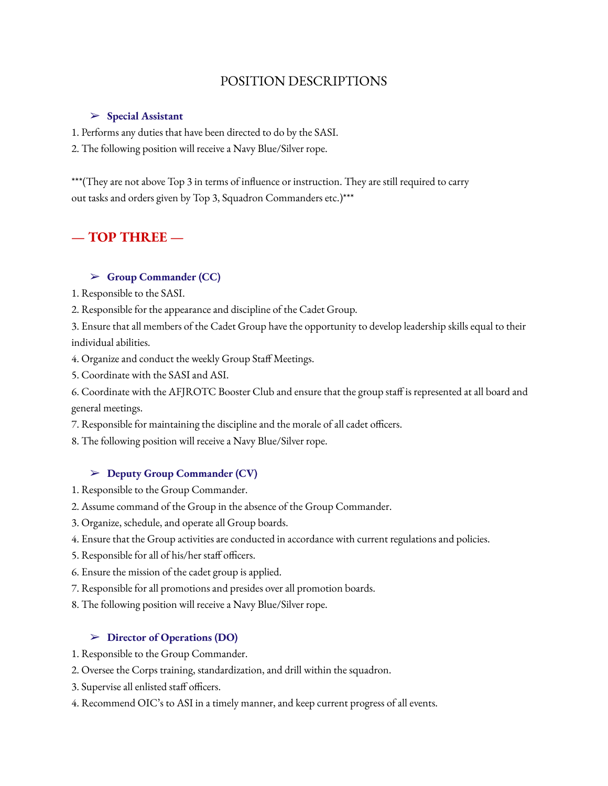# POSITION DESCRIPTIONS

#### ➢ **Special Assistant**

1. Performs any duties that have been directed to do by the SASI.

2. The following position will receive a Navy Blue/Silver rope.

\*\*\*(They are not above Top 3 in terms of influence or instruction. They are still required to carry out tasks and orders given by Top 3, Squadron Commanders etc.)\*\*\*

## **— TOP THREE —**

#### ➢ **Group Commander (CC)**

- 1. Responsible to the SASI.
- 2. Responsible for the appearance and discipline of the Cadet Group.

3. Ensure that all members of the Cadet Group have the opportunity to develop leadership skills equal to their individual abilities.

- 4. Organize and conduct the weekly Group Staff Meetings.
- 5. Coordinate with the SASI and ASI.

6. Coordinate with the AFJROTC Booster Club and ensure that the group staff is represented at all board and general meetings.

7. Responsible for maintaining the discipline and the morale of all cadet officers.

8. The following position will receive a Navy Blue/Silver rope.

#### ➢ **Deputy Group Commander (CV)**

- 1. Responsible to the Group Commander.
- 2. Assume command of the Group in the absence of the Group Commander.
- 3. Organize, schedule, and operate all Group boards.
- 4. Ensure that the Group activities are conducted in accordance with current regulations and policies.
- 5. Responsible for all of his/her staff officers.
- 6. Ensure the mission of the cadet group is applied.
- 7. Responsible for all promotions and presides over all promotion boards.
- 8. The following position will receive a Navy Blue/Silver rope.

#### ➢ **Director of Operations (DO)**

- 1. Responsible to the Group Commander.
- 2. Oversee the Corps training, standardization, and drill within the squadron.
- 3. Supervise all enlisted staff officers.
- 4. Recommend OIC's to ASI in a timely manner, and keep current progress of all events.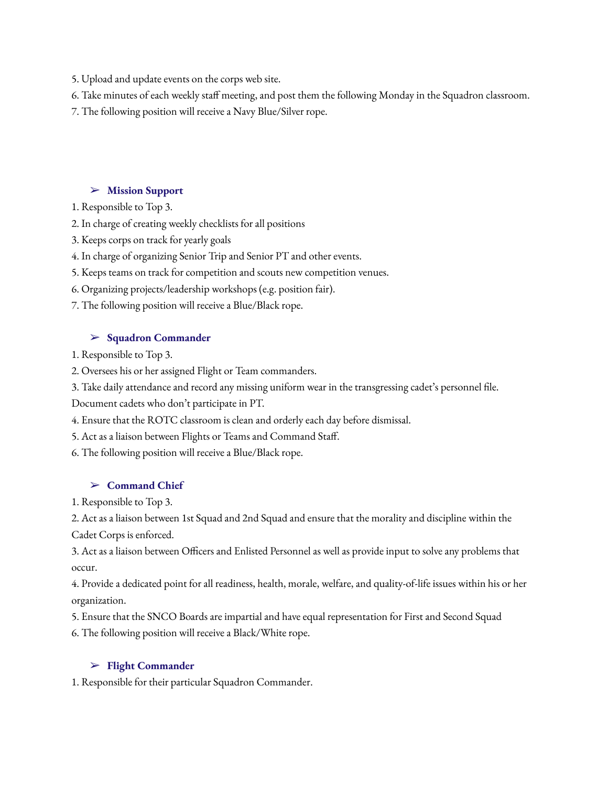5. Upload and update events on the corps web site.

6. Take minutes of each weekly staff meeting, and post them the following Monday in the Squadron classroom.

7. The following position will receive a Navy Blue/Silver rope.

## ➢ **Mission Support**

1. Responsible to Top 3.

2. In charge of creating weekly checklists for all positions

3. Keeps corps on track for yearly goals

4. In charge of organizing Senior Trip and Senior PT and other events.

5. Keeps teams on track for competition and scouts new competition venues.

6. Organizing projects/leadership workshops (e.g. position fair).

7. The following position will receive a Blue/Black rope.

## ➢ **Squadron Commander**

1. Responsible to Top 3.

2. Oversees his or her assigned Flight or Team commanders.

3. Take daily attendance and record any missing uniform wear in the transgressing cadet's personnel file.

Document cadets who don't participate in PT.

4. Ensure that the ROTC classroom is clean and orderly each day before dismissal.

5. Act as a liaison between Flights or Teams and Command Staff.

6. The following position will receive a Blue/Black rope.

# ➢ **Command Chief**

1. Responsible to Top 3.

2. Act as a liaison between 1st Squad and 2nd Squad and ensure that the morality and discipline within the Cadet Corps is enforced.

3. Act as a liaison between Officers and Enlisted Personnel as well as provide input to solve any problems that occur.

4. Provide a dedicated point for all readiness, health, morale, welfare, and quality-of-life issues within his or her organization.

5. Ensure that the SNCO Boards are impartial and have equal representation for First and Second Squad

6. The following position will receive a Black/White rope.

## ➢ **Flight Commander**

1. Responsible for their particular Squadron Commander.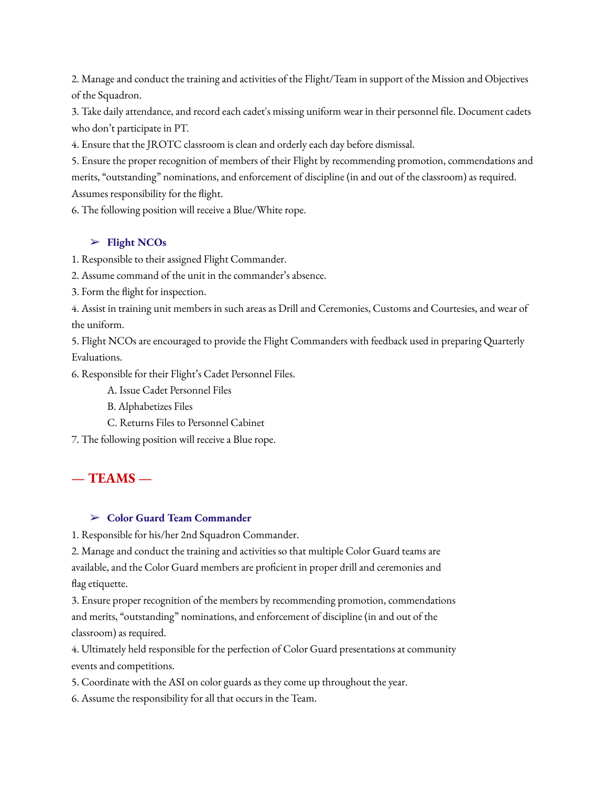2. Manage and conduct the training and activities of the Flight/Team in support of the Mission and Objectives of the Squadron.

3. Take daily attendance, and record each cadet's missing uniform wear in their personnel file. Document cadets who don't participate in PT.

4. Ensure that the JROTC classroom is clean and orderly each day before dismissal.

5. Ensure the proper recognition of members of their Flight by recommending promotion, commendations and merits, "outstanding" nominations, and enforcement of discipline (in and out of the classroom) as required. Assumes responsibility for the flight.

6. The following position will receive a Blue/White rope.

## ➢ **Flight NCOs**

1. Responsible to their assigned Flight Commander.

2. Assume command of the unit in the commander's absence.

3. Form the flight for inspection.

4. Assist in training unit members in such areas as Drill and Ceremonies, Customs and Courtesies, and wear of the uniform.

5. Flight NCOs are encouraged to provide the Flight Commanders with feedback used in preparing Quarterly Evaluations.

6. Responsible for their Flight's Cadet Personnel Files.

A. Issue Cadet Personnel Files

B. Alphabetizes Files

C. Returns Files to Personnel Cabinet

7. The following position will receive a Blue rope.

# **— TEAMS —**

## ➢ **Color Guard Team Commander**

1. Responsible for his/her 2nd Squadron Commander.

2. Manage and conduct the training and activities so that multiple Color Guard teams are available, and the Color Guard members are proficient in proper drill and ceremonies and flag etiquette.

3. Ensure proper recognition of the members by recommending promotion, commendations and merits, "outstanding" nominations, and enforcement of discipline (in and out of the classroom) as required.

4. Ultimately held responsible for the perfection of Color Guard presentations at community events and competitions.

5. Coordinate with the ASI on color guards as they come up throughout the year.

6. Assume the responsibility for all that occurs in the Team.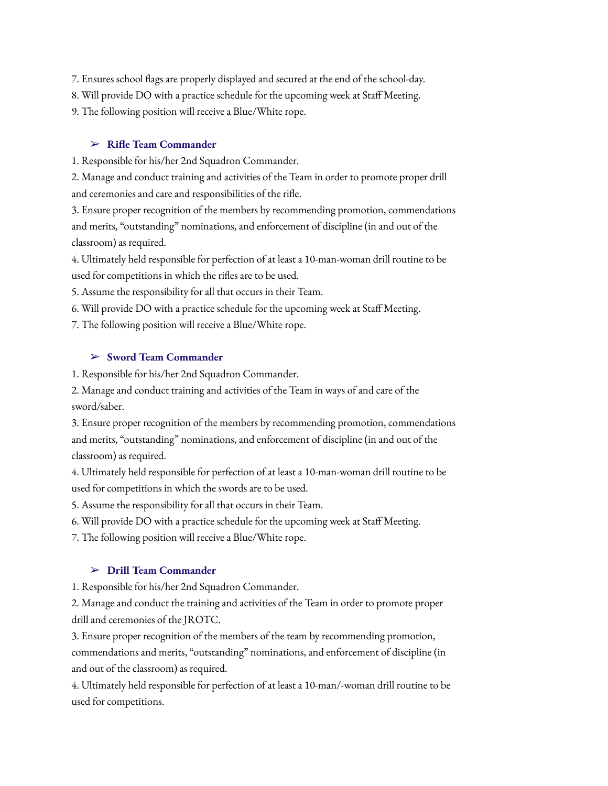- 7. Ensures school flags are properly displayed and secured at the end of the school-day.
- 8. Will provide DO with a practice schedule for the upcoming week at Staff Meeting.
- 9. The following position will receive a Blue/White rope.

#### ➢ **Rifle Team Commander**

1. Responsible for his/her 2nd Squadron Commander.

2. Manage and conduct training and activities of the Team in order to promote proper drill and ceremonies and care and responsibilities of the rifle.

3. Ensure proper recognition of the members by recommending promotion, commendations and merits, "outstanding" nominations, and enforcement of discipline (in and out of the classroom) as required.

4. Ultimately held responsible for perfection of at least a 10-man-woman drill routine to be used for competitions in which the rifles are to be used.

5. Assume the responsibility for all that occurs in their Team.

6. Will provide DO with a practice schedule for the upcoming week at Staff Meeting.

7. The following position will receive a Blue/White rope.

## ➢ **Sword Team Commander**

1. Responsible for his/her 2nd Squadron Commander.

2. Manage and conduct training and activities of the Team in ways of and care of the sword/saber.

3. Ensure proper recognition of the members by recommending promotion, commendations and merits, "outstanding" nominations, and enforcement of discipline (in and out of the classroom) as required.

4. Ultimately held responsible for perfection of at least a 10-man-woman drill routine to be used for competitions in which the swords are to be used.

5. Assume the responsibility for all that occurs in their Team.

6. Will provide DO with a practice schedule for the upcoming week at Staff Meeting.

7. The following position will receive a Blue/White rope.

## ➢ **Drill Team Commander**

1. Responsible for his/her 2nd Squadron Commander.

2. Manage and conduct the training and activities of the Team in order to promote proper drill and ceremonies of the JROTC.

3. Ensure proper recognition of the members of the team by recommending promotion, commendations and merits, "outstanding" nominations, and enforcement of discipline (in

and out of the classroom) as required.

4. Ultimately held responsible for perfection of at least a 10-man/-woman drill routine to be used for competitions.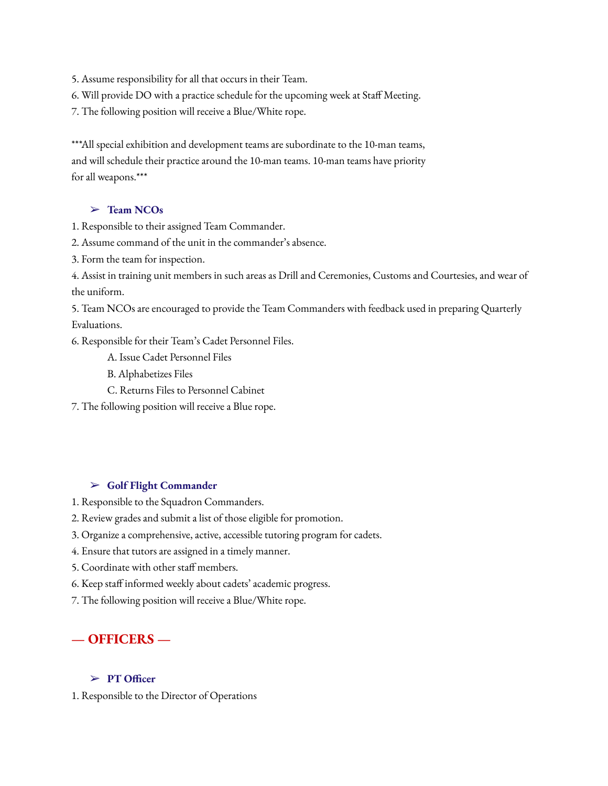5. Assume responsibility for all that occurs in their Team.

6. Will provide DO with a practice schedule for the upcoming week at Staff Meeting.

7. The following position will receive a Blue/White rope.

\*\*\*All special exhibition and development teams are subordinate to the 10-man teams, and will schedule their practice around the 10-man teams. 10-man teams have priority for all weapons.\*\*\*

## ➢ **Team NCOs**

- 1. Responsible to their assigned Team Commander.
- 2. Assume command of the unit in the commander's absence.
- 3. Form the team for inspection.

4. Assist in training unit members in such areas as Drill and Ceremonies, Customs and Courtesies, and wear of the uniform.

5. Team NCOs are encouraged to provide the Team Commanders with feedback used in preparing Quarterly Evaluations.

6. Responsible for their Team's Cadet Personnel Files.

A. Issue Cadet Personnel Files

B. Alphabetizes Files

- C. Returns Files to Personnel Cabinet
- 7. The following position will receive a Blue rope.

## ➢ **Golf Flight Commander**

- 1. Responsible to the Squadron Commanders.
- 2. Review grades and submit a list of those eligible for promotion.
- 3. Organize a comprehensive, active, accessible tutoring program for cadets.
- 4. Ensure that tutors are assigned in a timely manner.
- 5. Coordinate with other staff members.
- 6. Keep staff informed weekly about cadets' academic progress.
- 7. The following position will receive a Blue/White rope.

# **— OFFICERS —**

#### ➢ **PT Officer**

1. Responsible to the Director of Operations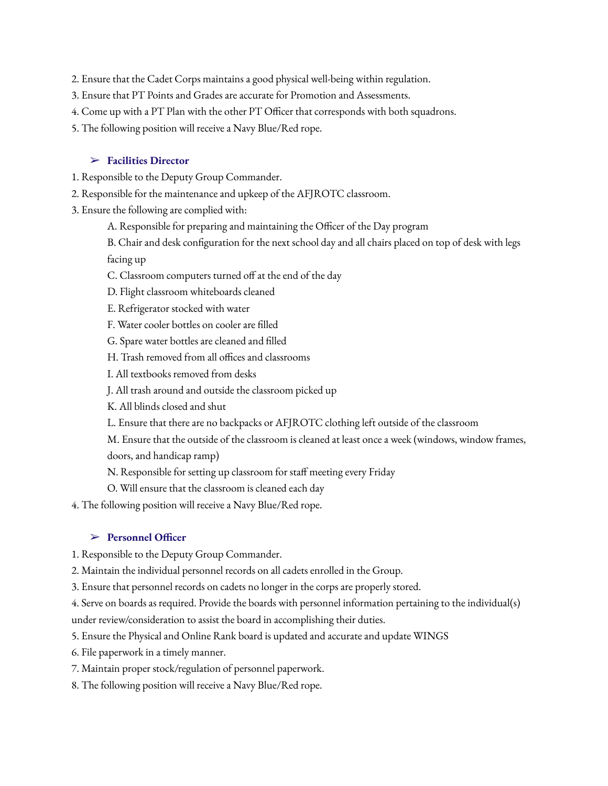- 2. Ensure that the Cadet Corps maintains a good physical well-being within regulation.
- 3. Ensure that PT Points and Grades are accurate for Promotion and Assessments.
- 4. Come up with a PT Plan with the other PT Officer that corresponds with both squadrons.
- 5. The following position will receive a Navy Blue/Red rope.

#### ➢ **Facilities Director**

- 1. Responsible to the Deputy Group Commander.
- 2. Responsible for the maintenance and upkeep of the AFJROTC classroom.
- 3. Ensure the following are complied with:
	- A. Responsible for preparing and maintaining the Officer of the Day program
	- B. Chair and desk configuration for the next school day and all chairs placed on top of desk with legs facing up
	- C. Classroom computers turned off at the end of the day
	- D. Flight classroom whiteboards cleaned
	- E. Refrigerator stocked with water
	- F. Water cooler bottles on cooler are filled
	- G. Spare water bottles are cleaned and filled
	- H. Trash removed from all offices and classrooms
	- I. All textbooks removed from desks
	- J. All trash around and outside the classroom picked up
	- K. All blinds closed and shut
	- L. Ensure that there are no backpacks or AFJROTC clothing left outside of the classroom
	- M. Ensure that the outside of the classroom is cleaned at least once a week (windows, window frames,
	- doors, and handicap ramp)
	- N. Responsible for setting up classroom for staff meeting every Friday
	- O. Will ensure that the classroom is cleaned each day
- 4. The following position will receive a Navy Blue/Red rope.

#### ➢ **Personnel Officer**

- 1. Responsible to the Deputy Group Commander.
- 2. Maintain the individual personnel records on all cadets enrolled in the Group.
- 3. Ensure that personnel records on cadets no longer in the corps are properly stored.
- 4. Serve on boards as required. Provide the boards with personnel information pertaining to the individual(s)
- under review/consideration to assist the board in accomplishing their duties.
- 5. Ensure the Physical and Online Rank board is updated and accurate and update WINGS
- 6. File paperwork in a timely manner.
- 7. Maintain proper stock/regulation of personnel paperwork.
- 8. The following position will receive a Navy Blue/Red rope.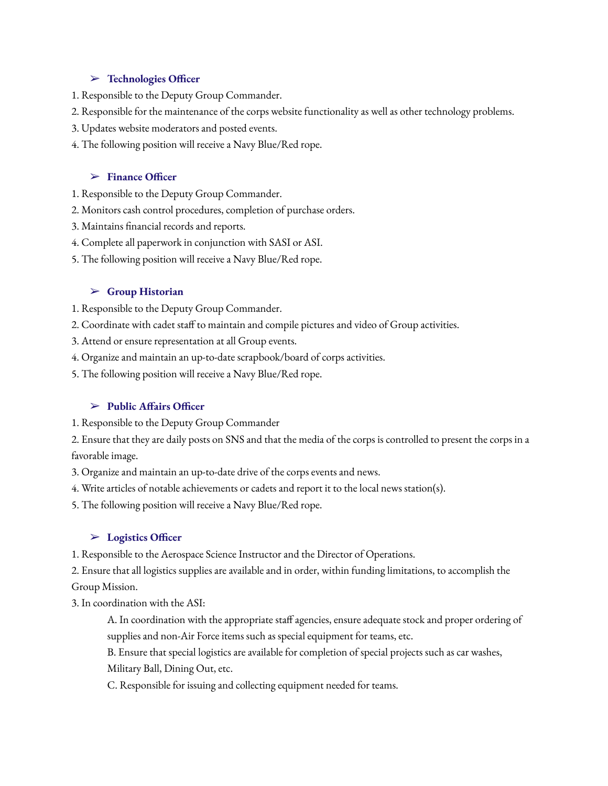## ➢ **Technologies Officer**

- 1. Responsible to the Deputy Group Commander.
- 2. Responsible for the maintenance of the corps website functionality as well as other technology problems.
- 3. Updates website moderators and posted events.
- 4. The following position will receive a Navy Blue/Red rope.

## ➢ **Finance Officer**

- 1. Responsible to the Deputy Group Commander.
- 2. Monitors cash control procedures, completion of purchase orders.
- 3. Maintains financial records and reports.
- 4. Complete all paperwork in conjunction with SASI or ASI.
- 5. The following position will receive a Navy Blue/Red rope.

## ➢ **Group Historian**

- 1. Responsible to the Deputy Group Commander.
- 2. Coordinate with cadet staff to maintain and compile pictures and video of Group activities.
- 3. Attend or ensure representation at all Group events.
- 4. Organize and maintain an up-to-date scrapbook/board of corps activities.
- 5. The following position will receive a Navy Blue/Red rope.

## ➢ **Public Affairs Officer**

1. Responsible to the Deputy Group Commander

2. Ensure that they are daily posts on SNS and that the media of the corps is controlled to present the corps in a favorable image.

- 3. Organize and maintain an up-to-date drive of the corps events and news.
- 4. Write articles of notable achievements or cadets and report it to the local news station(s).
- 5. The following position will receive a Navy Blue/Red rope.

#### ➢ **Logistics Officer**

1. Responsible to the Aerospace Science Instructor and the Director of Operations.

2. Ensure that all logistics supplies are available and in order, within funding limitations, to accomplish the Group Mission.

3. In coordination with the ASI:

A. In coordination with the appropriate staff agencies, ensure adequate stock and proper ordering of supplies and non-Air Force items such as special equipment for teams, etc.

B. Ensure that special logistics are available for completion of special projects such as car washes, Military Ball, Dining Out, etc.

C. Responsible for issuing and collecting equipment needed for teams.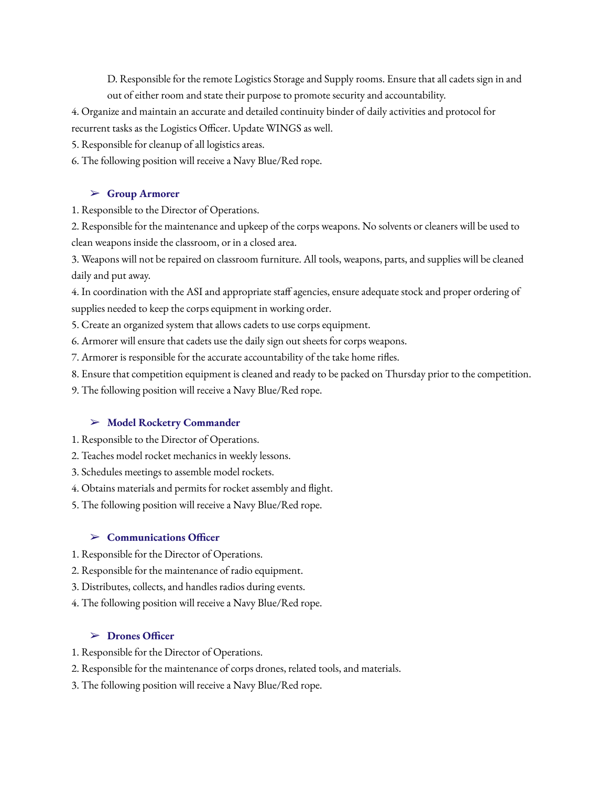D. Responsible for the remote Logistics Storage and Supply rooms. Ensure that all cadets sign in and out of either room and state their purpose to promote security and accountability.

- 4. Organize and maintain an accurate and detailed continuity binder of daily activities and protocol for
- recurrent tasks as the Logistics Officer. Update WINGS as well.
- 5. Responsible for cleanup of all logistics areas.

6. The following position will receive a Navy Blue/Red rope.

## ➢ **Group Armorer**

1. Responsible to the Director of Operations.

2. Responsible for the maintenance and upkeep of the corps weapons. No solvents or cleaners will be used to clean weapons inside the classroom, or in a closed area.

3. Weapons will not be repaired on classroom furniture. All tools, weapons, parts, and supplies will be cleaned daily and put away.

4. In coordination with the ASI and appropriate staff agencies, ensure adequate stock and proper ordering of supplies needed to keep the corps equipment in working order.

5. Create an organized system that allows cadets to use corps equipment.

6. Armorer will ensure that cadets use the daily sign out sheets for corps weapons.

7. Armorer is responsible for the accurate accountability of the take home rifles.

8. Ensure that competition equipment is cleaned and ready to be packed on Thursday prior to the competition.

9. The following position will receive a Navy Blue/Red rope.

# ➢ **Model Rocketry Commander**

1. Responsible to the Director of Operations.

2. Teaches model rocket mechanics in weekly lessons.

3. Schedules meetings to assemble model rockets.

4. Obtains materials and permits for rocket assembly and flight.

5. The following position will receive a Navy Blue/Red rope.

## ➢ **Communications Officer**

1. Responsible for the Director of Operations.

- 2. Responsible for the maintenance of radio equipment.
- 3. Distributes, collects, and handles radios during events.
- 4. The following position will receive a Navy Blue/Red rope.

# ➢ **Drones Officer**

- 1. Responsible for the Director of Operations.
- 2. Responsible for the maintenance of corps drones, related tools, and materials.
- 3. The following position will receive a Navy Blue/Red rope.